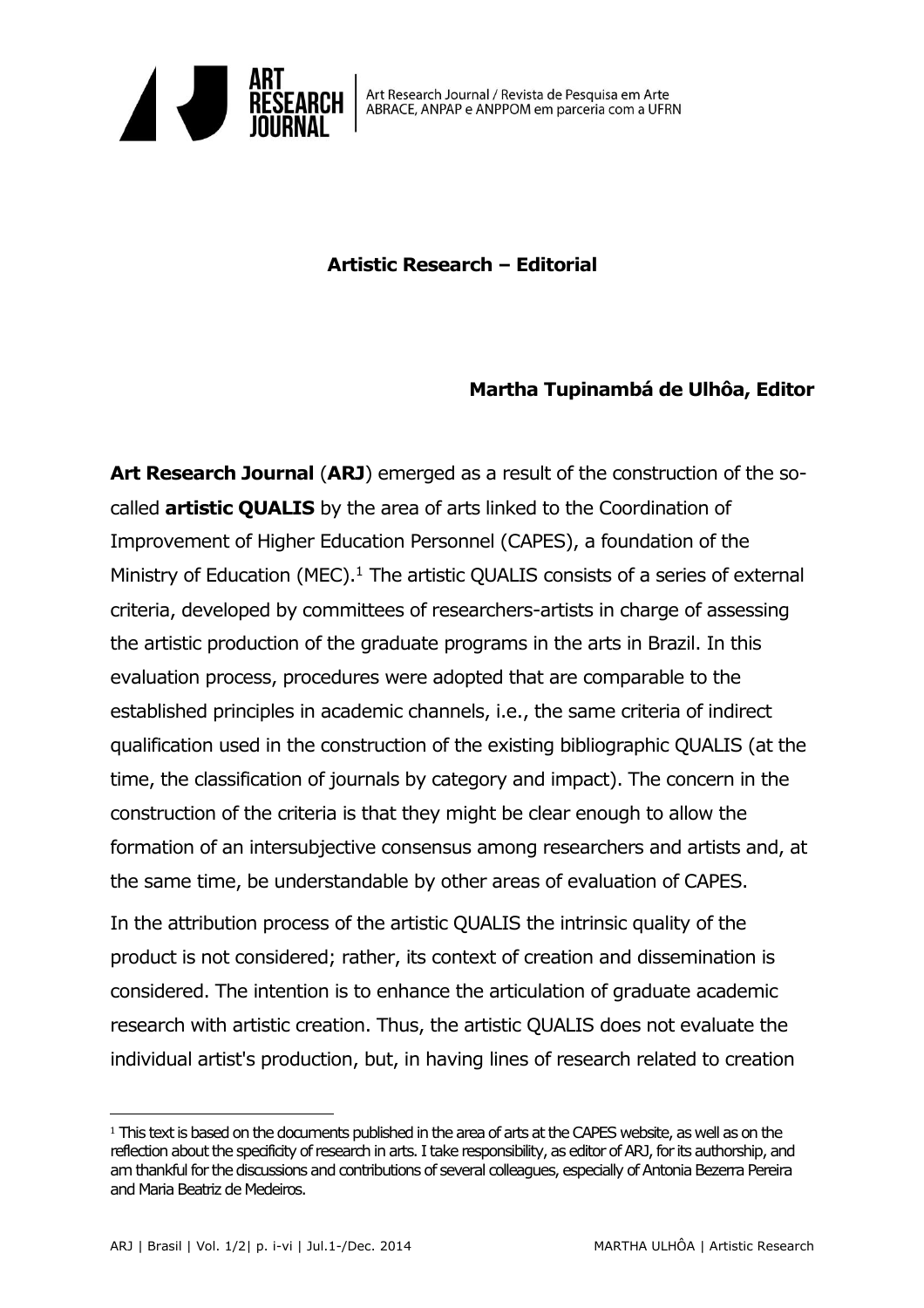

## **Artistic Research – Editorial**

## **Martha Tupinambá de Ulhôa, Editor**

**Art Research Journal** (**ARJ**) emerged as a result of the construction of the socalled **artistic QUALIS** by the area of arts linked to the Coordination of Improvement of Higher Education Personnel (CAPES), a foundation of the Ministry of Education (MEC). $1$  The artistic QUALIS consists of a series of external criteria, developed by committees of researchers-artists in charge of assessing the artistic production of the graduate programs in the arts in Brazil. In this evaluation process, procedures were adopted that are comparable to the established principles in academic channels, i.e., the same criteria of indirect qualification used in the construction of the existing bibliographic QUALIS (at the time, the classification of journals by category and impact). The concern in the construction of the criteria is that they might be clear enough to allow the formation of an intersubjective consensus among researchers and artists and, at the same time, be understandable by other areas of evaluation of CAPES.

In the attribution process of the artistic QUALIS the intrinsic quality of the product is not considered; rather, its context of creation and dissemination is considered. The intention is to enhance the articulation of graduate academic research with artistic creation. Thus, the artistic QUALIS does not evaluate the individual artist's production, but, in having lines of research related to creation

 $\overline{a}$ 

<sup>1</sup> This text is based on the documents published in the area of arts at the CAPES website, as well as on the reflection about the specificity of research in arts. I take responsibility, as editor of ARJ, for its authorship, and am thankful for the discussions and contributions of several colleagues, especially of Antonia Bezerra Pereira and Maria Beatriz de Medeiros.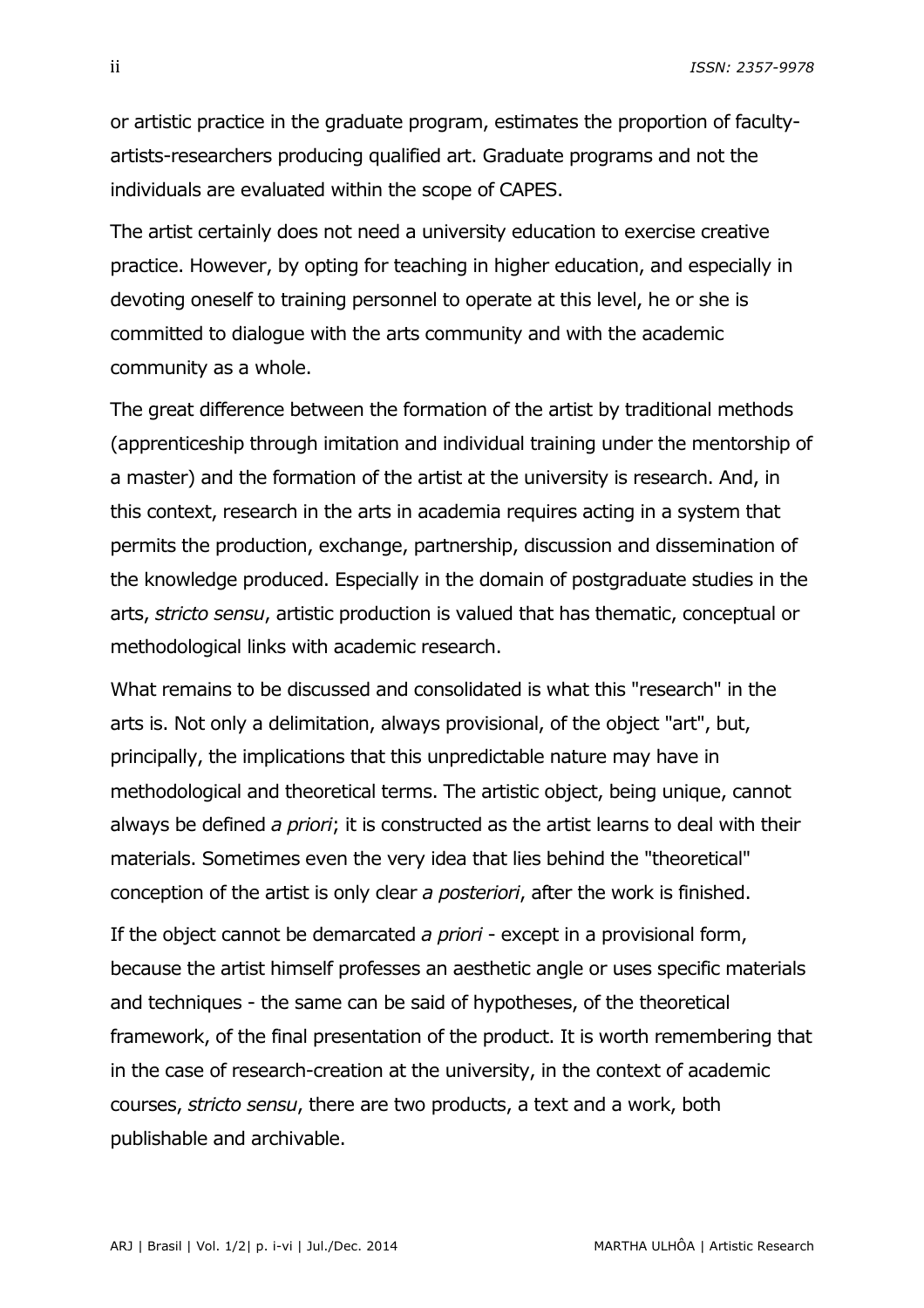ii *ISSN: 2357-9978*

or artistic practice in the graduate program, estimates the proportion of facultyartists-researchers producing qualified art. Graduate programs and not the individuals are evaluated within the scope of CAPES.

The artist certainly does not need a university education to exercise creative practice. However, by opting for teaching in higher education, and especially in devoting oneself to training personnel to operate at this level, he or she is committed to dialogue with the arts community and with the academic community as a whole.

The great difference between the formation of the artist by traditional methods (apprenticeship through imitation and individual training under the mentorship of a master) and the formation of the artist at the university is research. And, in this context, research in the arts in academia requires acting in a system that permits the production, exchange, partnership, discussion and dissemination of the knowledge produced. Especially in the domain of postgraduate studies in the arts, *stricto sensu*, artistic production is valued that has thematic, conceptual or methodological links with academic research.

What remains to be discussed and consolidated is what this "research" in the arts is. Not only a delimitation, always provisional, of the object "art", but, principally, the implications that this unpredictable nature may have in methodological and theoretical terms. The artistic object, being unique, cannot always be defined *a priori*; it is constructed as the artist learns to deal with their materials. Sometimes even the very idea that lies behind the "theoretical" conception of the artist is only clear *a posteriori*, after the work is finished.

If the object cannot be demarcated *a priori* - except in a provisional form, because the artist himself professes an aesthetic angle or uses specific materials and techniques - the same can be said of hypotheses, of the theoretical framework, of the final presentation of the product. It is worth remembering that in the case of research-creation at the university, in the context of academic courses, *stricto sensu*, there are two products, a text and a work, both publishable and archivable.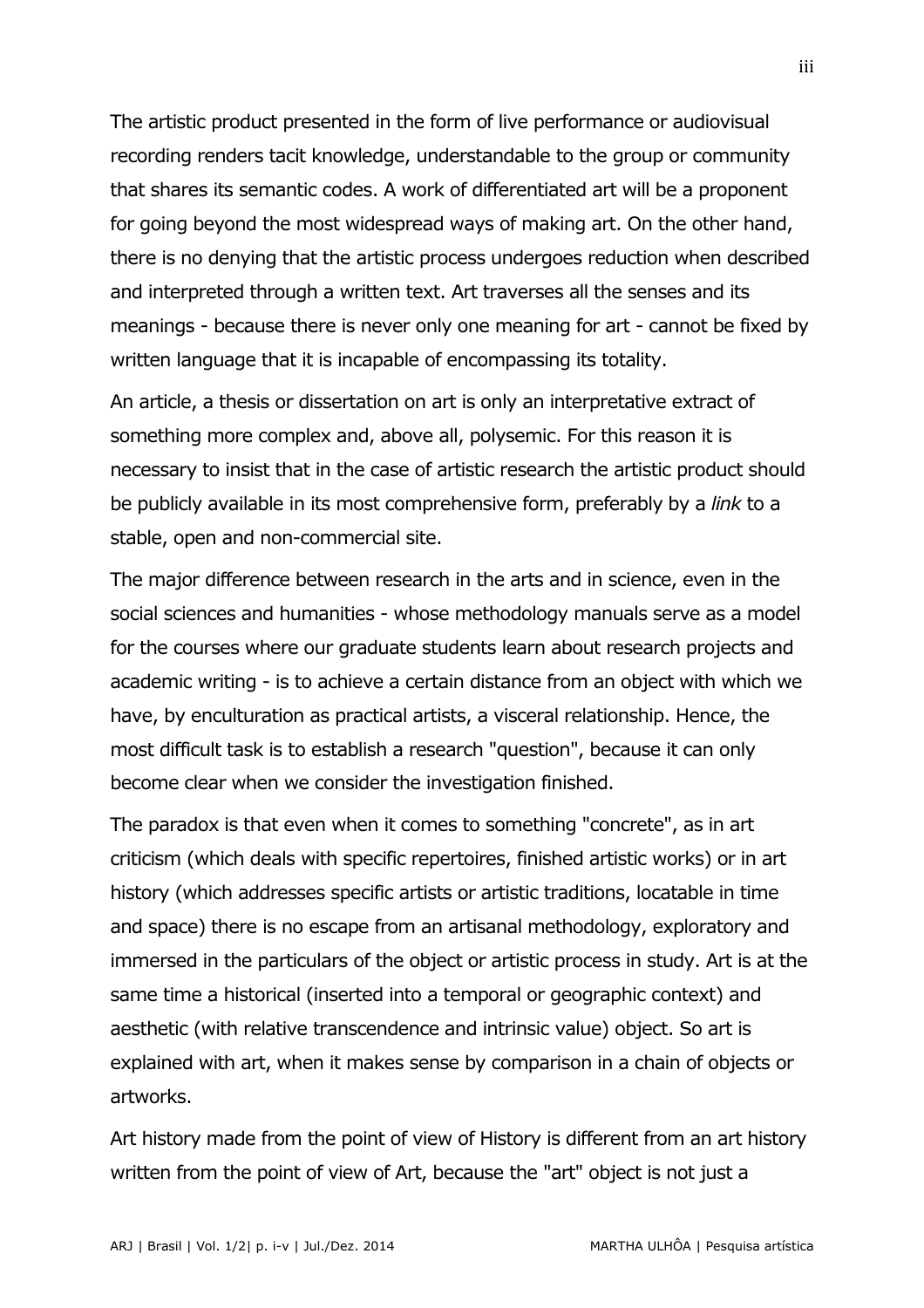The artistic product presented in the form of live performance or audiovisual recording renders tacit knowledge, understandable to the group or community that shares its semantic codes. A work of differentiated art will be a proponent for going beyond the most widespread ways of making art. On the other hand, there is no denying that the artistic process undergoes reduction when described and interpreted through a written text. Art traverses all the senses and its meanings - because there is never only one meaning for art - cannot be fixed by written language that it is incapable of encompassing its totality.

An article, a thesis or dissertation on art is only an interpretative extract of something more complex and, above all, polysemic. For this reason it is necessary to insist that in the case of artistic research the artistic product should be publicly available in its most comprehensive form, preferably by a *link* to a stable, open and non-commercial site.

The major difference between research in the arts and in science, even in the social sciences and humanities - whose methodology manuals serve as a model for the courses where our graduate students learn about research projects and academic writing - is to achieve a certain distance from an object with which we have, by enculturation as practical artists, a visceral relationship. Hence, the most difficult task is to establish a research "question", because it can only become clear when we consider the investigation finished.

The paradox is that even when it comes to something "concrete", as in art criticism (which deals with specific repertoires, finished artistic works) or in art history (which addresses specific artists or artistic traditions, locatable in time and space) there is no escape from an artisanal methodology, exploratory and immersed in the particulars of the object or artistic process in study. Art is at the same time a historical (inserted into a temporal or geographic context) and aesthetic (with relative transcendence and intrinsic value) object. So art is explained with art, when it makes sense by comparison in a chain of objects or artworks.

Art history made from the point of view of History is different from an art history written from the point of view of Art, because the "art" object is not just a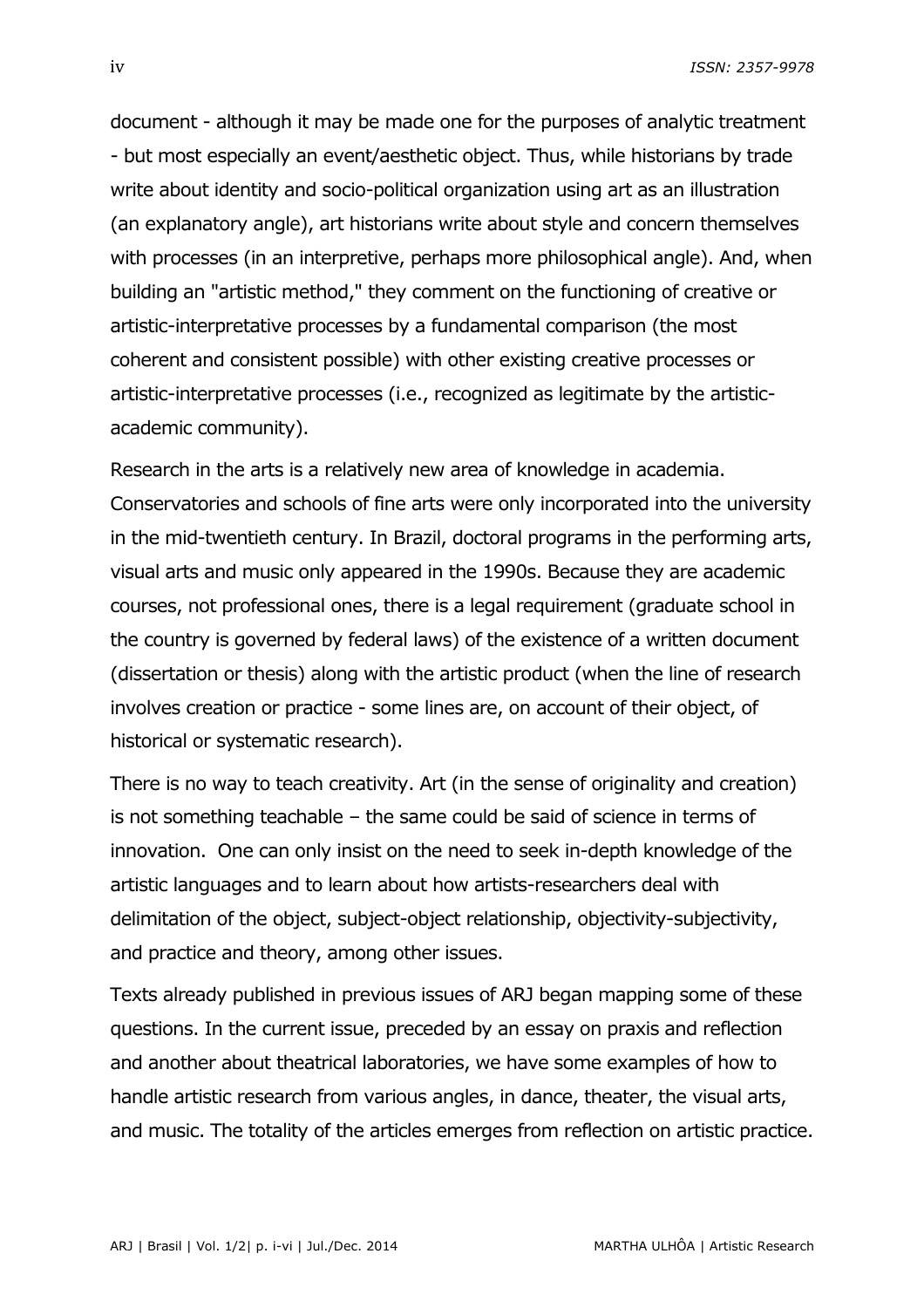iv *ISSN: 2357-9978*

document - although it may be made one for the purposes of analytic treatment - but most especially an event/aesthetic object. Thus, while historians by trade write about identity and socio-political organization using art as an illustration (an explanatory angle), art historians write about style and concern themselves with processes (in an interpretive, perhaps more philosophical angle). And, when building an "artistic method," they comment on the functioning of creative or artistic-interpretative processes by a fundamental comparison (the most coherent and consistent possible) with other existing creative processes or artistic-interpretative processes (i.e., recognized as legitimate by the artisticacademic community).

Research in the arts is a relatively new area of knowledge in academia. Conservatories and schools of fine arts were only incorporated into the university in the mid-twentieth century. In Brazil, doctoral programs in the performing arts, visual arts and music only appeared in the 1990s. Because they are academic courses, not professional ones, there is a legal requirement (graduate school in the country is governed by federal laws) of the existence of a written document (dissertation or thesis) along with the artistic product (when the line of research involves creation or practice - some lines are, on account of their object, of historical or systematic research).

There is no way to teach creativity. Art (in the sense of originality and creation) is not something teachable – the same could be said of science in terms of innovation. One can only insist on the need to seek in-depth knowledge of the artistic languages and to learn about how artists-researchers deal with delimitation of the object, subject-object relationship, objectivity-subjectivity, and practice and theory, among other issues.

Texts already published in previous issues of ARJ began mapping some of these questions. In the current issue, preceded by an essay on praxis and reflection and another about theatrical laboratories, we have some examples of how to handle artistic research from various angles, in dance, theater, the visual arts, and music. The totality of the articles emerges from reflection on artistic practice.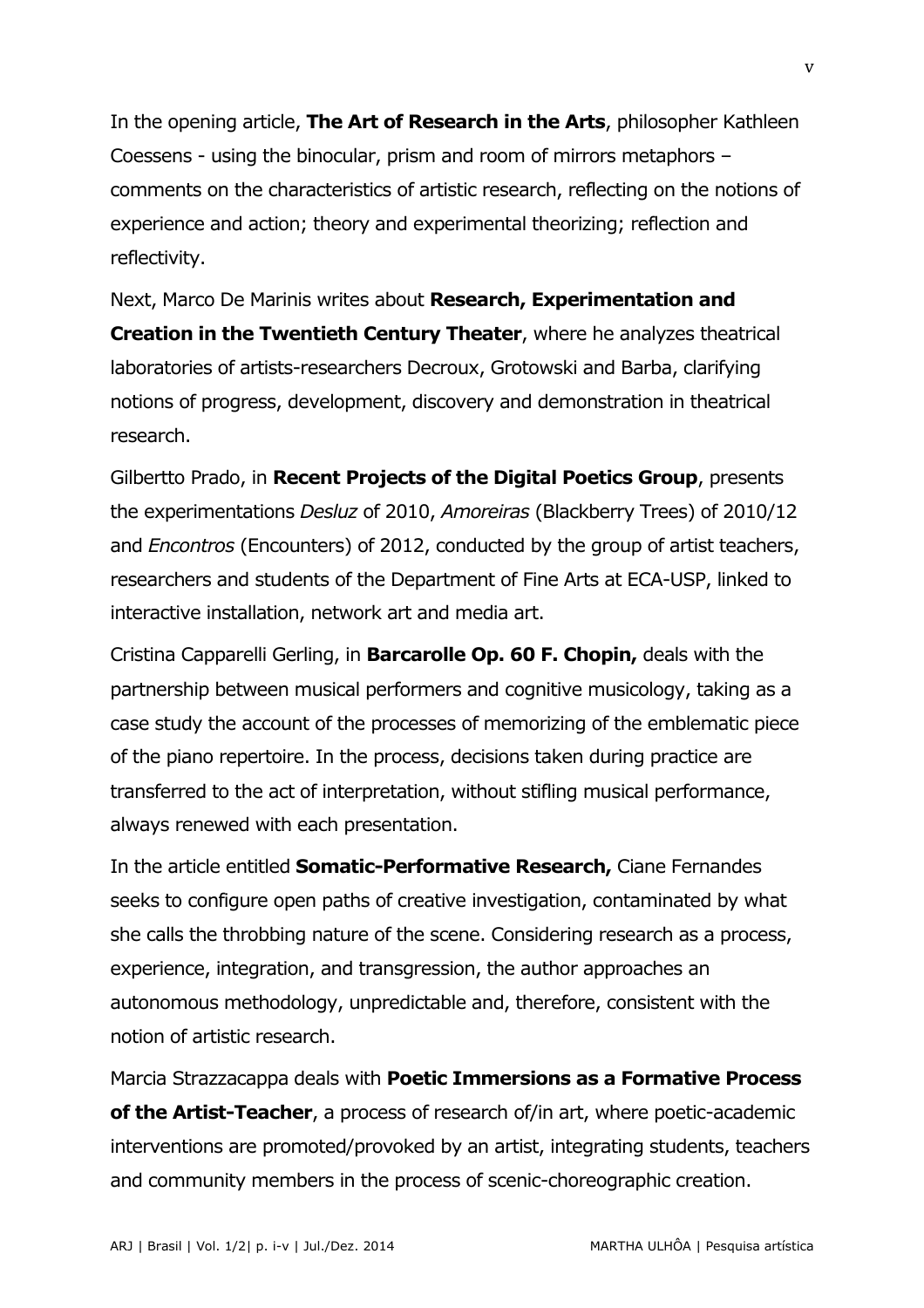In the opening article, **The Art of Research in the Arts**, philosopher Kathleen Coessens - using the binocular, prism and room of mirrors metaphors – comments on the characteristics of artistic research, reflecting on the notions of experience and action; theory and experimental theorizing; reflection and reflectivity.

Next, Marco De Marinis writes about **Research, Experimentation and Creation in the Twentieth Century Theater**, where he analyzes theatrical laboratories of artists-researchers Decroux, Grotowski and Barba, clarifying notions of progress, development, discovery and demonstration in theatrical research.

Gilbertto Prado, in **Recent Projects of the Digital Poetics Group**, presents the experimentations *Desluz* of 2010, *Amoreiras* (Blackberry Trees) of 2010/12 and *Encontros* (Encounters) of 2012, conducted by the group of artist teachers, researchers and students of the Department of Fine Arts at ECA-USP, linked to interactive installation, network art and media art.

Cristina Capparelli Gerling, in **Barcarolle Op. 60 F. Chopin,** deals with the partnership between musical performers and cognitive musicology, taking as a case study the account of the processes of memorizing of the emblematic piece of the piano repertoire. In the process, decisions taken during practice are transferred to the act of interpretation, without stifling musical performance, always renewed with each presentation.

In the article entitled **Somatic-Performative Research,** Ciane Fernandes seeks to configure open paths of creative investigation, contaminated by what she calls the throbbing nature of the scene. Considering research as a process, experience, integration, and transgression, the author approaches an autonomous methodology, unpredictable and, therefore, consistent with the notion of artistic research.

Marcia Strazzacappa deals with **Poetic Immersions as a Formative Process of the Artist-Teacher**, a process of research of/in art, where poetic-academic interventions are promoted/provoked by an artist, integrating students, teachers and community members in the process of scenic-choreographic creation.